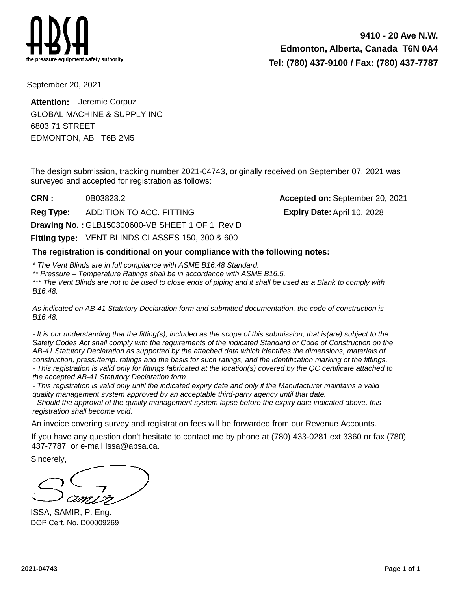

September 20, 2021

EDMONTON, AB T6B 2M5 6803 71 STREET **Attention:** Jeremie Corpuz GLOBAL MACHINE & SUPPLY INC

The design submission, tracking number 2021-04743, originally received on September 07, 2021 was surveyed and accepted for registration as follows:

**CRN :**

**Reg Type:** ADDITION TO ACC. FITTING

**Drawing No. :** GLB150300600-VB SHEET 1 OF 1 Rev D

**Fitting type: VENT BLINDS CLASSES 150, 300 & 600** 

**The registration is conditional on your compliance with the following notes:**

\* The Vent Blinds are in full compliance with ASME B16.48 Standard.

\*\* Pressure – Temperature Ratings shall be in accordance with ASME B16.5.

\*\*\* The Vent Blinds are not to be used to close ends of piping and it shall be used as a Blank to comply with B16.48.

As indicated on AB-41 Statutory Declaration form and submitted documentation, the code of construction is B16.48.

- It is our understanding that the fitting(s), included as the scope of this submission, that is(are) subject to the Safety Codes Act shall comply with the requirements of the indicated Standard or Code of Construction on the AB-41 Statutory Declaration as supported by the attached data which identifies the dimensions, materials of construction, press./temp. ratings and the basis for such ratings, and the identification marking of the fittings. - This registration is valid only for fittings fabricated at the location(s) covered by the QC certificate attached to the accepted AB-41 Statutory Declaration form.

- This registration is valid only until the indicated expiry date and only if the Manufacturer maintains a valid quality management system approved by an acceptable third-party agency until that date.

- Should the approval of the quality management system lapse before the expiry date indicated above, this registration shall become void.

An invoice covering survey and registration fees will be forwarded from our Revenue Accounts.

If you have any question don't hesitate to contact me by phone at (780) 433-0281 ext 3360 or fax (780) 437-7787 or e-mail Issa@absa.ca.

Sincerely,

ISSA, SAMIR, P. Eng. DOP Cert. No. D00009269

0B03823.2 **Accepted on:** September 20, 2021 **Expiry Date:**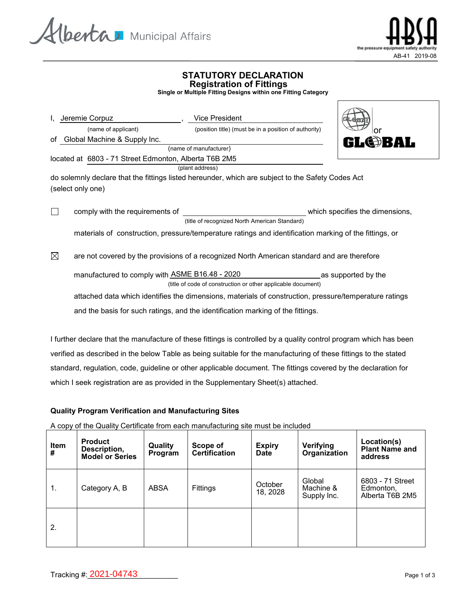



 $\triangle$ 

## **STATUTORY DECLARATION Registration of Fittings**

**Single or Multiple Fitting Designs within one Fitting Category**

| Jeremie Corpuz                                        | <b>Vice President</b>                                                                                  |                                 |
|-------------------------------------------------------|--------------------------------------------------------------------------------------------------------|---------------------------------|
| (name of applicant)                                   | (position title) (must be in a position of authority)                                                  | or                              |
| of Global Machine & Supply Inc.                       |                                                                                                        | <b>GL@BAL</b>                   |
|                                                       | (name of manufacturer)                                                                                 |                                 |
| located at 6803 - 71 Street Edmonton, Alberta T6B 2M5 |                                                                                                        |                                 |
|                                                       | (plant address)                                                                                        |                                 |
|                                                       | do solemnly declare that the fittings listed hereunder, which are subject to the Safety Codes Act      |                                 |
| (select only one)                                     |                                                                                                        |                                 |
|                                                       |                                                                                                        |                                 |
| $\Box$<br>comply with the requirements of             |                                                                                                        | which specifies the dimensions, |
|                                                       | (title of recognized North American Standard)                                                          |                                 |
|                                                       |                                                                                                        |                                 |
|                                                       | materials of construction, pressure/temperature ratings and identification marking of the fittings, or |                                 |
|                                                       |                                                                                                        |                                 |
| $\boxtimes$                                           | are not covered by the provisions of a recognized North American standard and are therefore            |                                 |
|                                                       |                                                                                                        |                                 |

manufactured to comply with <u>ASME B16.48 - 2020 \_\_\_\_\_\_\_\_\_\_\_\_\_\_\_\_\_\_\_\_</u>as supported by the (title of code of construction or other applicable document)

attached data which identifies the dimensions, materials of construction, pressure/temperature ratings and the basis for such ratings, and the identification marking of the fittings.

I further declare that the manufacture of these fittings is controlled by a quality control program which has been verified as described in the below Table as being suitable for the manufacturing of these fittings to the stated standard, regulation, code, guideline or other applicable document. The fittings covered by the declaration for which I seek registration are as provided in the Supplementary Sheet(s) attached.

### **Quality Program Verification and Manufacturing Sites**

A copy of the Quality Certificate from each manufacturing site must be included

| <b>Item</b><br># | <b>Product</b><br>Description,<br><b>Model or Series</b> | Quality<br>Program | Scope of<br><b>Certification</b> | <b>Expiry</b><br><b>Date</b> | Verifying<br>Organization          | Location(s)<br><b>Plant Name and</b><br>address  |
|------------------|----------------------------------------------------------|--------------------|----------------------------------|------------------------------|------------------------------------|--------------------------------------------------|
| 1.               | Category A, B                                            | <b>ABSA</b>        | Fittings                         | October<br>18, 2028          | Global<br>Machine &<br>Supply Inc. | 6803 - 71 Street<br>Edmonton,<br>Alberta T6B 2M5 |
| 2.               |                                                          |                    |                                  |                              |                                    |                                                  |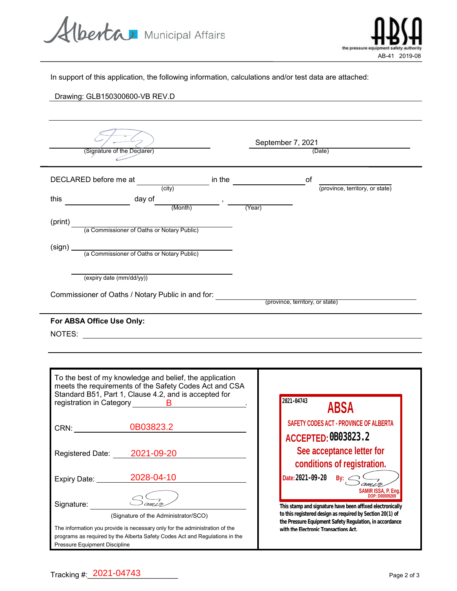Alberta Municipal Affairs



In support of this application, the following information, calculations and/or test data are attached:

# Drawing: GLB150300600-VB REV.D

| (Signature of the Declarer) |                                                                                                                                                                                                                                                                                                                                                     |  |                        | September 7, 2021<br>(Date)           |                                                                                                                      |  |  |
|-----------------------------|-----------------------------------------------------------------------------------------------------------------------------------------------------------------------------------------------------------------------------------------------------------------------------------------------------------------------------------------------------|--|------------------------|---------------------------------------|----------------------------------------------------------------------------------------------------------------------|--|--|
|                             | DECLARED before me at (city)                                                                                                                                                                                                                                                                                                                        |  | in the $\qquad \qquad$ | of                                    | (province, territory, or state)                                                                                      |  |  |
| this                        | $\begin{picture}(160,170) \put(0,0){\line(1,0){10}} \put(15,0){\line(1,0){10}} \put(15,0){\line(1,0){10}} \put(15,0){\line(1,0){10}} \put(15,0){\line(1,0){10}} \put(15,0){\line(1,0){10}} \put(15,0){\line(1,0){10}} \put(15,0){\line(1,0){10}} \put(15,0){\line(1,0){10}} \put(15,0){\line(1,0){10}} \put(15,0){\line(1,0){10}} \put(15,0){\line$ |  |                        |                                       |                                                                                                                      |  |  |
| (print)                     | (a Commissioner of Oaths or Notary Public)                                                                                                                                                                                                                                                                                                          |  |                        |                                       |                                                                                                                      |  |  |
|                             |                                                                                                                                                                                                                                                                                                                                                     |  |                        |                                       |                                                                                                                      |  |  |
|                             | (expiry date (mm/dd/yy))                                                                                                                                                                                                                                                                                                                            |  |                        |                                       |                                                                                                                      |  |  |
|                             | Commissioner of Oaths / Notary Public in and for: <i>_____________________________</i> (province, territory, or state)                                                                                                                                                                                                                              |  |                        |                                       |                                                                                                                      |  |  |
|                             | To the best of my knowledge and belief, the application<br>meets the requirements of the Safety Codes Act and CSA<br>Standard B51, Part 1, Clause 4.2, and is accepted for                                                                                                                                                                          |  |                        | 2021-04743                            |                                                                                                                      |  |  |
|                             | registration in Category <b>B</b> and B<br>CRN: 0B03823.2                                                                                                                                                                                                                                                                                           |  |                        |                                       | <b>ABSA</b><br>SAFETY CODES ACT - PROVINCE OF ALBERTA                                                                |  |  |
| Registered Date:            | 2021-09-20                                                                                                                                                                                                                                                                                                                                          |  |                        | ACCEPTED: CBO3823. 2                  | See acceptance letter for                                                                                            |  |  |
| Expiry Date: ___            | 2028-04-10                                                                                                                                                                                                                                                                                                                                          |  |                        | Date: 2021-09-20                      | conditions of registration.<br>Bv:                                                                                   |  |  |
| Signature:                  |                                                                                                                                                                                                                                                                                                                                                     |  |                        |                                       | SAMIR ISSA, P. Ena.<br>DOP: D00009269<br>This stamp and signature have been affixed electronically                   |  |  |
|                             | (Signature of the Administrator/SCO)<br>The information you provide is necessary only for the administration of the<br>programs as required by the Alberta Safety Codes Act and Regulations in the                                                                                                                                                  |  |                        | with the Electronic Transactions Act. | to this registered design as required by Section 20(1) of<br>the Pressure Equipment Safety Regulation, in accordance |  |  |

Pressure Equipment Discipline